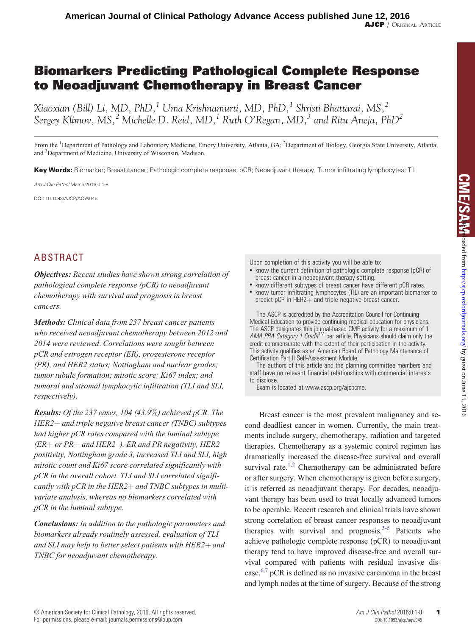# Biomarkers Predicting Pathological Complete Response to Neoadjuvant Chemotherapy in Breast Cancer

Xiaoxian (Bill) Li, MD, PhD,<sup>1</sup> Uma Krishnamurti, MD, PhD,<sup>1</sup> Shristi Bhattarai, MS,<sup>2</sup> Sergey Klimov, MS,<sup>2</sup> Michelle D. Reid, MD,<sup>1</sup> Ruth O'Regan, MD,<sup>3</sup> and Ritu Aneja, PhD<sup>2</sup>

From the <sup>1</sup>Department of Pathology and Laboratory Medicine, Emory University, Atlanta, GA; <sup>2</sup>Department of Biology, Georgia State University, Atlanta; and <sup>3</sup>Department of Medicine, University of Wisconsin, Madison.

Key Words: Biomarker; Breast cancer; Pathologic complete response; pCR; Neoadjuvant therapy; Tumor infiltrating lymphocytes; TIL

Am J Clin Pathol March 2016;0:1-8

DOI: 10.1093/AJCP/AQW045

# ABSTRACT

Objectives: Recent studies have shown strong correlation of pathological complete response (pCR) to neoadjuvant chemotherapy with survival and prognosis in breast cancers.

Methods: Clinical data from 237 breast cancer patients who received neoadjuvant chemotherapy between 2012 and 2014 were reviewed. Correlations were sought between pCR and estrogen receptor (ER), progesterone receptor (PR), and HER2 status; Nottingham and nuclear grades; tumor tubule formation; mitotic score; Ki67 index; and tumoral and stromal lymphocytic infiltration (TLI and SLI, respectively).

**Results:** Of the 237 cases, 104 (43.9%) achieved pCR. The  $HER2+$  and triple negative breast cancer (TNBC) subtypes had higher pCR rates compared with the luminal subtype  $(ER + or PR + and HER2-).$  ER and PR negativity, HER2 positivity, Nottingham grade 3, increased TLI and SLI, high mitotic count and Ki67 score correlated significantly with pCR in the overall cohort. TLI and SLI correlated significantly with pCR in the HER2+ and TNBC subtypes in multivariate analysis, whereas no biomarkers correlated with pCR in the luminal subtype.

Conclusions: In addition to the pathologic parameters and biomarkers already routinely assessed, evaluation of TLI and SLI may help to better select patients with  $HER2 +$  and TNBC for neoadjuvant chemotherapy.

Upon completion of this activity you will be able to:

- know the current definition of pathologic complete response (pCR) of breast cancer in a neoadjuvant therapy setting.
- know different subtypes of breast cancer have different pCR rates. • know tumor infiltrating lymphocytes (TIL) are an important biomarker to predict  $pCR$  in HER2 $+$  and triple-negative breast cancer.

The ASCP is accredited by the Accreditation Council for Continuing Medical Education to provide continuing medical education for physicians. The ASCP designates this journal-based CME activity for a maximum of 1<br>AMA PRA Category 1 Credit<sup>IM</sup> per article. Physicians should claim only the credit commensurate with the extent of their participation in the activity. This activity qualifies as an American Board of Pathology Maintenance of Certification Part II Self-Assessment Module.

The authors of this article and the planning committee members and staff have no relevant financial relationships with commercial interests to disclose.

Exam is located at www.ascp.org/ajcpcme.

Breast cancer is the most prevalent malignancy and second deadliest cancer in women. Currently, the main treatments include surgery, chemotherapy, radiation and targeted therapies. Chemotherapy as a systemic control regimen has dramatically increased the disease-free survival and overall survival rate.<sup>1,2</sup> Chemotherapy can be administrated before or after surgery. When chemotherapy is given before surgery, it is referred as neoadjuvant therapy. For decades, neoadjuvant therapy has been used to treat locally advanced tumors to be operable. Recent research and clinical trials have shown strong correlation of breast cancer responses to neoadjuvant therapies with survival and prognosis. $3-5$  Patients who achieve pathologic complete response (pCR) to neoadjuvant therapy tend to have improved disease-free and overall survival compared with patients with residual invasive dis-ease.<sup>[6,7](#page-6-0)</sup> pCR is defined as no invasive carcinoma in the breast and lymph nodes at the time of surgery. Because of the strong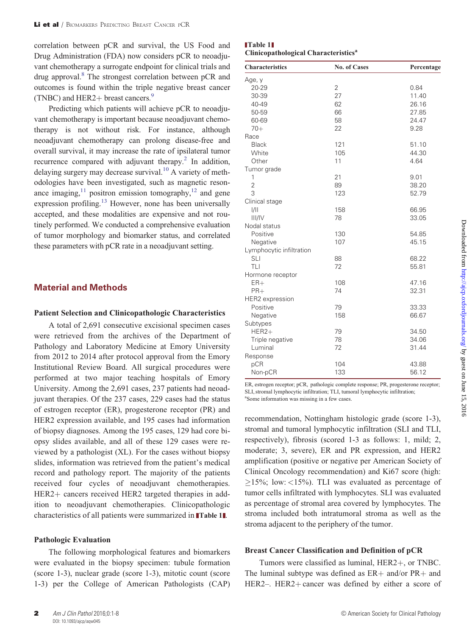correlation between pCR and survival, the US Food and Drug Administration (FDA) now considers pCR to neoadjuvant chemotherapy a surrogate endpoint for clinical trials and drug approval.<sup>8</sup> The strongest correlation between pCR and outcomes is found within the triple negative breast cancer (TNBC) and HER2+ breast cancers. $9$ 

Predicting which patients will achieve pCR to neoadjuvant chemotherapy is important because neoadjuvant chemotherapy is not without risk. For instance, although neoadjuvant chemotherapy can prolong disease-free and overall survival, it may increase the rate of ipsilateral tumor recurrence compared with adjuvant therapy.<sup>[2](#page-6-0)</sup> In addition, delaying surgery may decrease survival.<sup>10</sup> A variety of methodologies have been investigated, such as magnetic resonance imaging,  $11$  positron emission tomography,  $12$  and gene expression profiling.<sup>[13](#page-7-0)</sup> However, none has been universally accepted, and these modalities are expensive and not routinely performed. We conducted a comprehensive evaluation of tumor morphology and biomarker status, and correlated these parameters with pCR rate in a neoadjuvant setting.

#### Material and Methods

#### Patient Selection and Clinicopathologic Characteristics

A total of 2,691 consecutive excisional specimen cases were retrieved from the archives of the Department of Pathology and Laboratory Medicine at Emory University from 2012 to 2014 after protocol approval from the Emory Institutional Review Board. All surgical procedures were performed at two major teaching hospitals of Emory University. Among the 2,691 cases, 237 patients had neoadjuvant therapies. Of the 237 cases, 229 cases had the status of estrogen receptor (ER), progesterone receptor (PR) and HER2 expression available, and 195 cases had information of biopsy diagnoses. Among the 195 cases, 129 had core biopsy slides available, and all of these 129 cases were reviewed by a pathologist (XL). For the cases without biopsy slides, information was retrieved from the patient's medical record and pathology report. The majority of the patients received four cycles of neoadjuvant chemotherapies. HER2+ cancers received HER2 targeted therapies in addition to neoadjuvant chemotherapies. Clinicopathologic characteristics of all patients were summarized in Table 1[.](http://www.oxfordjournals.org/)

#### Pathologic Evaluation

The following morphological features and biomarkers were evaluated in the biopsy specimen: tubule formation (score 1-3), nuclear grade (score 1-3), mitotic count (score 1-3) per the College of American Pathologists (CAP)

| $\blacksquare$ Table 1 $\blacksquare$            |  |
|--------------------------------------------------|--|
| Clinicopathological Characteristics <sup>a</sup> |  |

| <b>Characteristics</b>   | <b>No. of Cases</b> | Percentage |
|--------------------------|---------------------|------------|
| Age, y                   |                     |            |
| 20-29                    | $\overline{2}$      | 0.84       |
| 30-39                    | 27                  | 11.40      |
| 40-49                    | 62                  | 26.16      |
| 50-59                    | 66                  | 27.85      |
| 60-69                    | 58                  | 24.47      |
| $70+$                    | 22                  | 9.28       |
| Race                     |                     |            |
| <b>Black</b>             | 121                 | 51.10      |
| White                    | 105                 | 44.30      |
| Other                    | 11                  | 4.64       |
| Tumor grade              |                     |            |
| $\mathbf{1}$             | 21                  | 9.01       |
| $\overline{2}$           | 89                  | 38.20      |
| 3                        | 123                 | 52.79      |
| Clinical stage           |                     |            |
| 1/11                     | 158                 | 66.95      |
| III/IV                   | 78                  | 33.05      |
| Nodal status             |                     |            |
| Positive                 | 130                 | 54.85      |
| Negative                 | 107                 | 45.15      |
| Lymphocytic infiltration |                     |            |
| <b>SLI</b>               | 88                  | 68.22      |
| TLI                      | 72                  | 55.81      |
| Hormone receptor         |                     |            |
| $ER+$                    | 108                 | 47.16      |
| $PR+$                    | 74                  | 32.31      |
| HER2 expression          |                     |            |
| Positive                 | 79                  | 33.33      |
| Negative                 | 158                 | 66.67      |
| Subtypes                 |                     |            |
| $HER2+$                  | 79                  | 34.50      |
| Triple negative          | 78                  | 34.06      |
| Luminal                  | 72                  | 31.44      |
| Response                 |                     |            |
| pCR                      | 104                 | 43.88      |
| Non-pCR                  | 133                 | 56.12      |

ER, estrogen receptor; pCR, pathologic complete response; PR, progesterone receptor; SLI, stromal lymphocytic infiltration; TLI, tumoral lymphocytic infiltration; a Some information was missing in a few cases.

recommendation, Nottingham histologic grade (score 1-3), stromal and tumoral lymphocytic infiltration (SLI and TLI, respectively), fibrosis (scored 1-3 as follows: 1, mild; 2, moderate; 3, severe), ER and PR expression, and HER2 amplification (positive or negative per American Society of Clinical Oncology recommendation) and Ki67 score (high:  $\geq$ 15%; low: <15%). TLI was evaluated as percentage of tumor cells infiltrated with lymphocytes. SLI was evaluated as percentage of stromal area covered by lymphocytes. The stroma included both intratumoral stroma as well as the stroma adjacent to the periphery of the tumor.

#### Breast Cancer Classification and Definition of pCR

Tumors were classified as luminal, HER2+, or TNBC. The luminal subtype was defined as  $ER +$  and/or  $PR +$  and HER2–. HER2+ cancer was defined by either a score of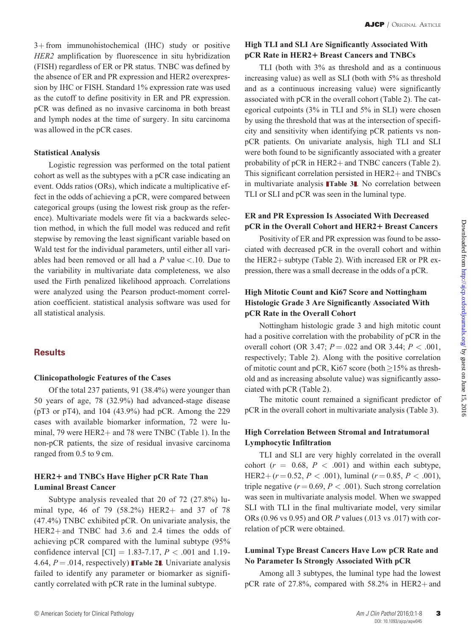$3+$  from immunohistochemical (IHC) study or positive HER2 amplification by fluorescence in situ hybridization (FISH) regardless of ER or PR status. TNBC was defined by the absence of ER and PR expression and HER2 overexpression by IHC or FISH. Standard 1% expression rate was used as the cutoff to define positivity in ER and PR expression. pCR was defined as no invasive carcinoma in both breast and lymph nodes at the time of surgery. In situ carcinoma was allowed in the pCR cases.

### Statistical Analysis

Logistic regression was performed on the total patient cohort as well as the subtypes with a pCR case indicating an event. Odds ratios (ORs), which indicate a multiplicative effect in the odds of achieving a pCR, were compared between categorical groups (using the lowest risk group as the reference). Multivariate models were fit via a backwards selection method, in which the full model was reduced and refit stepwise by removing the least significant variable based on Wald test for the individual parameters, until either all variables had been removed or all had a  $P$  value <.10. Due to the variability in multivariate data completeness, we also used the Firth penalized likelihood approach. Correlations were analyzed using the Pearson product-moment correlation coefficient. statistical analysis software was used for all statistical analysis.

### **Results**

#### Clinicopathologic Features of the Cases

Of the total 237 patients, 91 (38.4%) were younger than 50 years of age, 78 (32.9%) had advanced-stage disease (pT3 or pT4), and 104 (43.9%) had pCR. Among the 229 cases with available biomarker information, 72 were luminal, 79 were  $HER2+$  and 78 were TNBC (Table 1). In the non-pCR patients, the size of residual invasive carcinoma ranged from 0.5 to 9 cm.

### HER2+ and TNBCs Have Higher pCR Rate Than Luminal Breast Cancer

Subtype analysis revealed that 20 of 72 (27.8%) luminal type, 46 of 79  $(58.2%)$  HER2+ and 37 of 78 (47.4%) TNBC exhibited pCR. On univariate analysis, the  $HER2+$  and TNBC had 3.6 and 2.4 times the odds of achieving pCR compared with the luminal subtype (95% confidence interval [CI] = 1.83-7.17,  $P < .001$  and 1.19-4.64,  $P = .014$ , respectively) **[Table 2](#page-3-0)1.** Univariate analysis [failed to identify any parameter or biomarker as signifi](#page-3-0)[cantly correlated with pCR rate in the luminal subtype.](#page-3-0)

# High TLI and SLI Are Significantly Associated With pCR Rate in HER2+ Breast Cancers and TNBCs

TLI (both with 3% as threshold and as a continuous increasing value) as well as SLI (both with 5% as threshold and as a continuous increasing value) were significantly associated with pCR in the overall cohort (Table 2). The categorical cutpoints (3% in TLI and 5% in SLI) were chosen by using the threshold that was at the intersection of specificity and sensitivity when identifying pCR patients vs nonpCR patients. On univariate analysis, high TLI and SLI were both found to be significantly associated with a greater probability of  $pCR$  in  $HER2+$  and TNBC cancers (Table 2). This significant correlation persisted in  $HER2 +$  and TNBCs in multivariate analysis [Table 3](#page-5-0)1[. No correlation between](#page-5-0) [TLI or SLI and pCR was seen in the luminal type.](#page-5-0)

# ER and PR Expression Is Associated With Decreased pCR in the Overall Cohort and HER2+ Breast Cancers

Positivity of ER and PR expression was found to be associated with decreased pCR in the overall cohort and within the HER2+ subtype (Table 2). With increased ER or PR expression, there was a small decrease in the odds of a pCR.

# High Mitotic Count and Ki67 Score and Nottingham Histologic Grade 3 Are Significantly Associated With pCR Rate in the Overall Cohort

Nottingham histologic grade 3 and high mitotic count had a positive correlation with the probability of pCR in the overall cohort (OR 3.47;  $P = .022$  and OR 3.44;  $P < .001$ , respectively; Table 2). Along with the positive correlation of mitotic count and pCR, Ki67 score (both  $\geq$  15% as threshold and as increasing absolute value) was significantly associated with pCR (Table 2).

The mitotic count remained a significant predictor of pCR in the overall cohort in multivariate analysis (Table 3).

# High Correlation Between Stromal and Intratumoral Lymphocytic Infiltration

TLI and SLI are very highly correlated in the overall cohort ( $r = 0.68$ ,  $P < .001$ ) and within each subtype, HER2+  $(r = 0.52, P < .001)$ , luminal  $(r = 0.85, P < .001)$ , triple negative ( $r = 0.69, P < .001$ ). Such strong correlation was seen in multivariate analysis model. When we swapped SLI with TLI in the final multivariate model, very similar ORs (0.96 vs 0.95) and OR P values (.013 vs .017) with correlation of pCR were obtained.

# Luminal Type Breast Cancers Have Low pCR Rate and No Parameter Is Strongly Associated With pCR

Among all 3 subtypes, the luminal type had the lowest pCR rate of 27.8%, compared with  $58.2\%$  in HER2+ and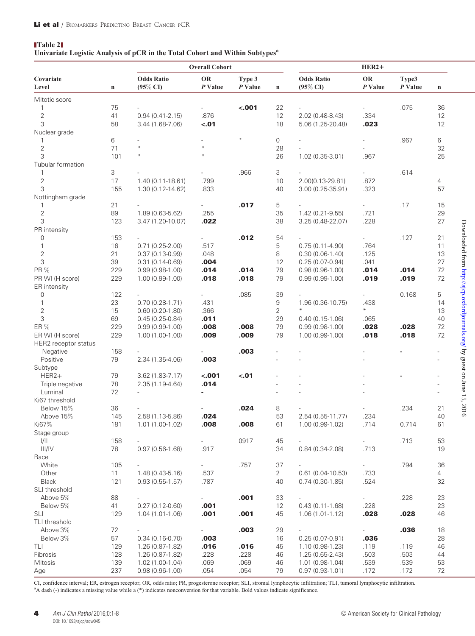#### <span id="page-3-0"></span>Table 2

#### Univariate Logistic Analysis of pCR in the Total Cohort and Within Subtypes<sup>a</sup>

|                      |             | <b>Overall Cohort</b>            |                      |                   |                | $HER2+$                                  |                          |                  |                |                                                                           |
|----------------------|-------------|----------------------------------|----------------------|-------------------|----------------|------------------------------------------|--------------------------|------------------|----------------|---------------------------------------------------------------------------|
| Covariate<br>Level   | $\mathbf n$ | <b>Odds Ratio</b><br>$(95\%$ CI) | <b>OR</b><br>P Value | Type 3<br>P Value | $\mathbf n$    | <b>Odds Ratio</b><br>$(95\% \text{ CI})$ | <b>OR</b><br>$P$ Value   | Type3<br>P Value | $\mathbf n$    |                                                                           |
| Mitotic score        |             |                                  |                      |                   |                |                                          |                          |                  |                |                                                                           |
| $\mathbf{1}$         | 75          |                                  |                      | < .001            | 22             |                                          |                          | .075             | 36             |                                                                           |
| $\sqrt{2}$           | 41          | $0.94(0.41 - 2.15)$              | .876                 |                   | 12             | 2.02 (0.48-8.43)                         | .334                     |                  | 12             |                                                                           |
| 3                    | 58          | 3.44 (1.68-7.06)                 | $-.01$               |                   | 18             | 5.06 (1.25-20.48)                        | .023                     |                  | 12             |                                                                           |
| Nuclear grade        |             |                                  |                      |                   |                |                                          |                          |                  |                |                                                                           |
| 1                    | 6           |                                  |                      | $\ast$            | 0              |                                          |                          | .967             | 6              |                                                                           |
| $\sqrt{2}$           | 71          | $\ast$                           | $\ast$               |                   | 28             |                                          |                          |                  | 32             |                                                                           |
| 3                    | 101         | $\ast$                           | $\ast$               |                   | 26             | 1.02 (0.35-3.01)                         | .967                     |                  | 25             |                                                                           |
| Tubular formation    |             |                                  |                      |                   |                |                                          |                          |                  |                |                                                                           |
| $\mathbf{1}$         | 3           |                                  |                      | .966              | 3              |                                          |                          | .614             |                |                                                                           |
| $\sqrt{2}$           | 17          | $1.40(0.11 - 18.61)$             | .799                 |                   | 10             | 2.00(0.13-29.81)                         | .872                     |                  | $\overline{4}$ |                                                                           |
| 3                    | 155         | 1.30 (0.12-14.62)                | .833                 |                   | 40             | $3.00(0.25-35.91)$                       | .323                     |                  | 57             |                                                                           |
| Nottingham grade     |             |                                  |                      |                   |                |                                          |                          |                  |                |                                                                           |
| $\mathbf{1}$         | 21          |                                  |                      | .017              | 5              |                                          |                          | .17              | 15             |                                                                           |
| $\sqrt{2}$           | 89          | 1.89 (0.63-5.62)                 | .255                 |                   | 35             | 1.42 (0.21-9.55)                         | .721                     |                  | 29             |                                                                           |
| 3                    | 123         | 3.47 (1.20-10.07)                | .022                 |                   | 38             | 3.25 (0.48-22.07)                        | .228                     |                  | 27             |                                                                           |
| PR intensity         |             |                                  |                      |                   |                |                                          |                          |                  |                |                                                                           |
| 0                    | 153         |                                  |                      | .012              | 54             |                                          | $\overline{\phantom{0}}$ | .127             | 21             |                                                                           |
| $\mathbf{1}$         | 16          | $0.71(0.25-2.00)$                | .517                 |                   | 5              | $0.75(0.11-4.90)$                        | .764                     |                  | 11             |                                                                           |
| $\overline{c}$       | 21          | $0.37(0.13 - 0.99)$              | .048                 |                   | 8              | $0.30(0.06-1.40)$                        | .125                     |                  | 13             |                                                                           |
| 3                    | 39          | $0.31(0.14 - 0.69)$              | .004                 |                   | 12             | $0.25(0.07-0.94)$                        | .041                     |                  | 27             |                                                                           |
| PR %                 | 229         | $0.99(0.98-1.00)$                | .014                 | .014              | 79             | $0.98(0.96-1.00)$                        | .014                     | .014             | 72             |                                                                           |
| PR WI (H score)      | 229         | $1.00(0.99-1.00)$                | .018                 | .018              | 79             | $0.99(0.99-1.00)$                        | .019                     | .019             | 72             |                                                                           |
| ER intensity         |             |                                  |                      |                   |                |                                          |                          |                  |                |                                                                           |
| 0                    | 122         |                                  |                      | .085              | 39             |                                          |                          | 0.168            | 5              |                                                                           |
| $\mathbf{1}$         | 23          | $0.70(0.28-1.71)$                | .431                 |                   | 9              | 1.96 (0.36-10.75)                        | .438                     |                  | 14             |                                                                           |
| $\sqrt{2}$           | 15          | $0.60(0.20-1.80)$                | .366                 |                   | 2              | $\divideontimes$                         | $\ast$                   |                  | 13             |                                                                           |
| 3                    | 69          | $0.45(0.25-0.84)$                | .011                 |                   | 29             | $0.40(0.15-1.06)$                        | .065                     |                  | 40             |                                                                           |
| ER %                 | 229         | $0.99(0.99-1.00)$                | .008                 | .008              | 79             | $0.99(0.98-1.00)$                        | .028                     | .028             | 72             | Downloaded from http://ajcp.oxfordjournals.org/ by guest on June 15, 2016 |
| ER WI (H score)      | 229         | $1.00(1.00-1.00)$                | .009                 | .009              | 79             | $1.00(0.99-1.00)$                        | .018                     | .018             | 72             |                                                                           |
| HER2 receptor status |             |                                  |                      |                   |                |                                          |                          |                  |                |                                                                           |
| Negative             | 158         |                                  |                      | .003              |                |                                          |                          |                  |                |                                                                           |
| Positive             | 79          | 2.34 (1.35-4.06)                 | .003                 |                   |                |                                          |                          |                  |                |                                                                           |
| Subtype              |             |                                  |                      |                   |                |                                          |                          |                  |                |                                                                           |
| $HER2+$              | 79          | $3.62(1.83 - 7.17)$              | $-.001$              | $-.01$            |                |                                          |                          |                  |                |                                                                           |
| Triple negative      | 78          | 2.35 (1.19-4.64)                 | .014                 |                   |                |                                          |                          |                  |                |                                                                           |
| Luminal              | 72          |                                  |                      |                   |                |                                          |                          |                  |                |                                                                           |
| Ki67 threshold       |             |                                  |                      |                   |                |                                          |                          |                  |                |                                                                           |
| Below 15%            | 36          |                                  |                      | .024              | 8              |                                          |                          | .234             | 21             |                                                                           |
| Above 15%            | 145         | 2.58 (1.13-5.86)                 | .024                 |                   | 53             | 2.54 (0.55-11.77)                        | .234                     |                  | 40             |                                                                           |
| Ki67%                | 181         | $1.01(1.00-1.02)$                | .008                 | .008              | 61             | 1.00 (0.99-1.02)                         | .714                     | 0.714            | 61             |                                                                           |
| Stage group          |             |                                  |                      |                   |                |                                          |                          |                  |                |                                                                           |
| 1/11                 | 158         |                                  |                      | 0917              | 45             |                                          |                          | .713             | 53             |                                                                           |
| III/IV               | 78          | $0.97(0.56-1.68)$                | .917                 |                   | 34             | $0.84(0.34 - 2.08)$                      | .713                     |                  | 19             |                                                                           |
| Race                 |             |                                  |                      |                   |                |                                          |                          |                  |                |                                                                           |
| White                | 105         |                                  |                      | .757              | 37             |                                          | $\sim 10$                | .794             | 36             |                                                                           |
| Other                | 11          | $1.48(0.43 - 5.16)$              | .537                 |                   | $\overline{2}$ | $0.61(0.04-10.53)$                       | .733                     |                  | $\overline{4}$ |                                                                           |
| Black                | 121         | $0.93(0.55-1.57)$                | .787                 |                   | 40             | $0.74(0.30-1.85)$                        | .524                     |                  | 32             |                                                                           |
| SLI threshold        |             |                                  |                      |                   |                |                                          |                          |                  |                |                                                                           |
| Above 5%             | 88          |                                  |                      | .001              | 33             |                                          |                          | .228             | 23             |                                                                           |
| Below 5%             | 41          | $0.27(0.12-0.60)$                | .001                 |                   | 12             | $0.43(0.11-1.68)$                        | .228                     |                  | 23             |                                                                           |
| SLI                  | 129         | $1.04(1.01-1.06)$                | .001                 | .001              | 45             | $1.06(1.01-1.12)$                        | .028                     | .028             | 46             |                                                                           |
| TLI threshold        |             |                                  |                      |                   |                |                                          |                          |                  |                |                                                                           |
| Above 3%             | 72          |                                  | $\sim$               | .003              | 29             | $\overline{\phantom{a}}$                 | $\sim$                   | .036             | 18             |                                                                           |
| Below 3%             | 57          | $0.34(0.16-0.70)$                | .003                 |                   | 16             | $0.25(0.07-0.91)$                        | .036                     |                  | 28             |                                                                           |
| TLI<br>Fibrosis      | 129<br>128  | $1.26(0.87-1.82)$                | .016<br>.228         | .016<br>.228      | 45             | 1.10 (0.98-1.23)                         | .119<br>.503             | .119<br>.503     | 46             |                                                                           |
| <b>Mitosis</b>       |             | 1.26 (0.87-1.82)                 | .069                 |                   | 46             | 1.25 (0.65-2.43)                         |                          |                  | 44             |                                                                           |
|                      | 139         | 1.02 (1.00-1.04)                 |                      | .069              | 46             | 1.01 (0.98-1.04)                         | .539                     | .539             | 53             |                                                                           |
| Age                  | 237         | $0.98(0.96-1.00)$                | .054                 | .054              | 79             | $0.97(0.93 - 1.01)$                      | .172                     | .172             | 72             |                                                                           |

CI, confidence interval; ER, estrogen receptor; OR, odds ratio; PR, progesterone receptor; SLI, stromal lymphocytic infiltration; TLI, tumoral lymphocytic infiltration. <sup>a</sup>A dash (-) indicates a missing value while a (\*) indicates nonconversion for that variable. Bold values indicate significance.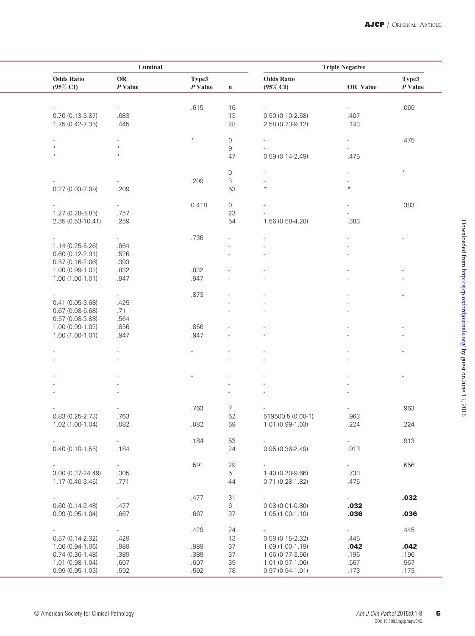| Luminal                       |                          |                    |                     | <b>Triple Negative</b>           |                          |                    |
|-------------------------------|--------------------------|--------------------|---------------------|----------------------------------|--------------------------|--------------------|
| <b>Odds Ratio</b><br>(95% CI) | OR<br>$P$ Value          | Type3<br>$P$ Value | $\mathbf n$         | <b>Odds Ratio</b><br>$(95\%$ CI) | OR Value                 | Type3<br>$P$ Value |
|                               |                          |                    |                     |                                  |                          |                    |
|                               |                          | .615               | 16                  |                                  |                          | .069               |
| $0.70(0.13-3.87)$             | .683                     |                    | 13                  | $0.50(0.10-2.58)$                | .407                     |                    |
| 1.75 (0.42-7.35)              | .445                     |                    | 28                  | 2.58 (0.73-9.12)                 | .143                     |                    |
| $\overline{\phantom{a}}$      | $\overline{a}$           | $\ast$             | $\mathsf{O}\xspace$ | $\overline{\phantom{a}}$         | $\overline{\phantom{a}}$ | .475               |
| $\ast$                        | $\ast$                   |                    | 9                   |                                  |                          |                    |
| $*$                           | $*$                      |                    | 47                  | $0.59(0.14 - 2.49)$              | .475                     |                    |
|                               |                          |                    |                     |                                  |                          |                    |
|                               |                          |                    | 0                   | ÷,                               |                          | $\ast$             |
|                               |                          | .209               | $\mathsf 3$         |                                  |                          |                    |
| $0.27(0.03 - 2.09)$           | .209                     |                    | 53                  | $\ast$                           | $\ast$                   |                    |
|                               |                          |                    |                     |                                  |                          |                    |
|                               |                          | 0.418              | $\mathsf O$         |                                  |                          | .383               |
| 1.27 (0.28-5.85)              | .757                     |                    | 23                  |                                  |                          |                    |
| 2.35 (0.53-10.41)             | .259                     |                    | 54                  | 1.56 (0.58-4.20)                 | .383                     |                    |
| $\overline{\phantom{a}}$      | $\overline{\phantom{a}}$ | .736               |                     | $\overline{\phantom{0}}$         |                          |                    |
| 1.14 (0.25-5.26)              | .864                     |                    |                     |                                  |                          |                    |
| $0.60(0.12 - 2.91)$           |                          |                    |                     |                                  |                          |                    |
|                               | .526<br>.393             |                    |                     |                                  |                          |                    |
| $0.57(0.16-2.06)$             |                          |                    |                     |                                  |                          |                    |
| 1.00 (0.99-1.02)              | .832                     | .832               |                     |                                  |                          |                    |
| 1.00 (1.00-1.01)              | .947                     | .947               |                     |                                  |                          |                    |
|                               | $\overline{\phantom{0}}$ | .873               |                     |                                  |                          |                    |
| $0.41(0.05-3.68)$             | .425                     |                    |                     |                                  |                          |                    |
| $0.67(0.08-5.68)$             | .71                      |                    |                     |                                  |                          |                    |
| $0.57(0.08-3.88)$             | .564                     |                    |                     |                                  |                          |                    |
| 1.00 (0.99-1.02)              | .856                     | .856               |                     |                                  |                          |                    |
| 1.00 (1.00-1.01)              | .947                     | .947               |                     |                                  |                          |                    |
|                               |                          |                    |                     |                                  |                          |                    |
|                               |                          |                    |                     |                                  |                          | ۰                  |
|                               |                          |                    |                     |                                  |                          |                    |
|                               |                          |                    |                     |                                  |                          | ۰                  |
|                               |                          |                    |                     |                                  |                          |                    |
|                               |                          |                    |                     |                                  |                          |                    |
|                               |                          |                    |                     |                                  |                          |                    |
|                               |                          | .763               | 7                   |                                  |                          | .963               |
| $0.83(0.25-2.73)$             | .763                     |                    | 52                  | 519500.5 (0.00-1)                | .963                     |                    |
| $1.02(1.00-1.04)$             | .082                     | .082               | 59                  | 1.01 (0.99-1.03)                 | .224                     | .224               |
|                               |                          |                    | 53                  |                                  |                          |                    |
|                               |                          | .184               |                     |                                  | $\sim$                   | .913               |
| $0.40(0.10-1.55)$             | .184                     |                    | 24                  | $0.95(0.36-2.49)$                | .913                     |                    |
|                               |                          | .591               | 29                  |                                  | $\omega_{\rm{max}}$      | .656               |
| 3.00 (0.37-24.49)             | .305                     |                    | 5                   | 1.40 (0.20-9.66)                 | .733                     |                    |
| 1.17 (0.40-3.45)              | .771                     |                    | 44                  | $0.71(0.28-1.82)$                | .475                     |                    |
|                               |                          |                    |                     |                                  |                          |                    |
|                               |                          | .477               | 31                  |                                  |                          | .032               |
| $0.60(0.14-2.48)$             | .477                     |                    | 6                   | $0.08(0.01 - 0.80)$              | .032                     |                    |
| $0.99(0.95-1.04)$             | .667                     | .667               | 37                  | $1.05(1.00-1.10)$                | .036                     | .036               |
|                               | $\sim 10^{-1}$           | .429               | 24                  | $\overline{\phantom{0}}$         | $\omega_{\rm{max}}$      | .445               |
| $0.57(0.14-2.32)$             | .429                     |                    | 13                  | $0.58(0.15-2.32)$                | .445                     |                    |
| 1.00 (0.94-1.06)              | .989                     | .989               | 37                  | $1.09(1.00-1.19)$                | .042                     | .042               |
| $0.74(0.36-1.48)$             | .389                     | .389               | 37                  | 1.66 (0.77-3.56)                 | .196                     | .196               |
| 1.01 (0.98-1.04)              | .607                     | .607               | 39                  | 1.01 (0.97-1.06)                 | .567                     | .567               |
| $0.99(0.95-1.03)$             | .592                     | .592               | 78                  | $0.97(0.94 - 1.01)$              | .173                     | .173               |
|                               |                          |                    |                     |                                  |                          |                    |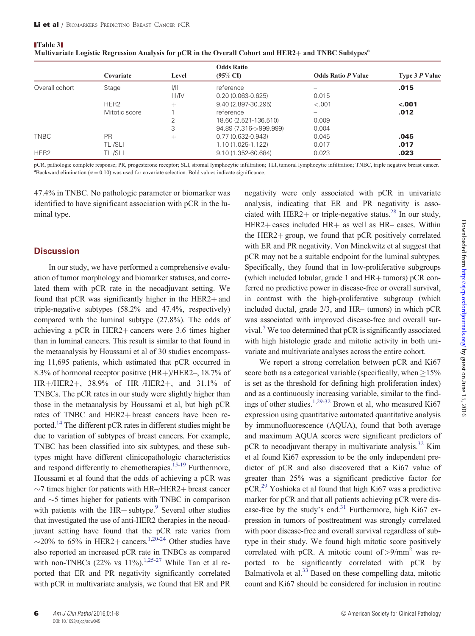|                  |                  |        | <b>Odds Ratio</b>      |                           |                |  |
|------------------|------------------|--------|------------------------|---------------------------|----------------|--|
|                  | Covariate        | Level  | $(95\% \text{ CI})$    | <b>Odds Ratio P Value</b> | Type 3 P Value |  |
| Overall cohort   | Stage            | 1/11   | reference              | -                         | .015           |  |
|                  |                  | III/IV | $0.20(0.063 - 0.625)$  | 0.015                     |                |  |
|                  | HER <sub>2</sub> | $^{+}$ | 9.40 (2.897-30.295)    | $-.001$                   | $-.001$        |  |
|                  | Mitotic score    |        | reference              |                           | .012           |  |
|                  |                  |        | 18.60 (2.521-136.510)  | 0.009                     |                |  |
|                  |                  | 3      | 94.89 (7.316->999.999) | 0.004                     |                |  |
| <b>TNBC</b>      | <b>PR</b>        | $^+$   | $0.77(0.632 - 0.943)$  | 0.045                     | .045           |  |
|                  | <b>TLI/SLI</b>   |        | 1.10 (1.025-1.122)     | 0.017                     | .017           |  |
| HER <sub>2</sub> | TLI/SLI          |        | 9.10 (1.352-60.684)    | 0.023                     | .023           |  |

<span id="page-5-0"></span>Table 3 Multivariate Logistic Regression Analysis for pCR in the Overall Cohort and HER2+ and TNBC Subtypes<sup>a</sup>

pCR, pathologic complete response; PR, progesterone receptor; SLI, stromal lymphocytic infiltration; TLI, tumoral lymphocytic infiltration; TNBC, triple negative breast cancer. <sup>a</sup>Backward elimination ( $\alpha = 0.10$ ) was used for covariate selection. Bold values indicate significance.

47.4% in TNBC. No pathologic parameter or biomarker was identified to have significant association with pCR in the luminal type.

### **Discussion**

In our study, we have performed a comprehensive evaluation of tumor morphology and biomarker statuses, and correlated them with pCR rate in the neoadjuvant setting. We found that pCR was significantly higher in the  $HER2+$  and triple-negative subtypes (58.2% and 47.4%, respectively) compared with the luminal subtype (27.8%). The odds of achieving a pCR in HER2+ cancers were  $3.6$  times higher than in luminal cancers. This result is similar to that found in the metaanalysis by Houssami et al of 30 studies encompassing 11,695 patients, which estimated that pCR occurred in 8.3% of hormonal receptor positive  $(HR+) / HER2$ –, 18.7% of  $HR+/HER2+, 38.9%$  of  $HR-/HER2+,$  and 31.1% of TNBCs. The pCR rates in our study were slightly higher than those in the metaanalysis by Houssami et al, but high pCR rates of TNBC and HER2+ breast cancers have been reported[.14](#page-7-0) The different pCR rates in different studies might be due to variation of subtypes of breast cancers. For example, TNBC has been classified into six subtypes, and these subtypes might have different clinicopathologic characteristics and respond differently to chemotherapies.<sup>15-[19](#page-7-0)</sup> Furthermore, Houssami et al found that the odds of achieving a pCR was  $\sim$ 7 times higher for patients with HR–/HER2+ breast cancer and  $\sim$ 5 times higher for patients with TNBC in comparison with patients with the  $HR+$  subtype.<sup>9</sup> Several other studies that investigated the use of anti-HER2 therapies in the neoadjuvant setting have found that the pCR rate varies from  $\sim$ 20% to 65% in HER2+ cancers.<sup>1,[20-24](#page-7-0)</sup> Other studies have also reported an increased pCR rate in TNBCs as compared with non-TNBCs (22% vs  $11\%$  $11\%$ ).<sup>1[,25-27](#page-7-0)</sup> While Tan et al reported that ER and PR negativity significantly correlated with pCR in multivariate analysis, we found that ER and PR

negativity were only associated with pCR in univariate analysis, indicating that ER and PR negativity is associated with HER2+ or triple-negative status.<sup>28</sup> In our study,  $HER2 + cases$  included  $HR +$  as well as  $HR -$  cases. Within the HER2+ group, we found that pCR positively correlated with ER and PR negativity. Von Minckwitz et al suggest that pCR may not be a suitable endpoint for the luminal subtypes. Specifically, they found that in low-proliferative subgroups (which included lobular, grade 1 and  $HR+$  tumors) pCR conferred no predictive power in disease-free or overall survival, in contrast with the high-proliferative subgroup (which included ductal, grade 2/3, and HR– tumors) in which pCR was associated with improved disease-free and overall survival[.7](#page-6-0) We too determined that pCR is significantly associated with high histologic grade and mitotic activity in both univariate and multivariate analyses across the entire cohort.

We report a strong correlation between pCR and Ki67 score both as a categorical variable (specifically, when  $\geq$  15% is set as the threshold for defining high proliferation index) and as a continuously increasing variable, similar to the findings of other studies.[1](#page-6-0)[,29-32](#page-7-0) Brown et al, who measured Ki67 expression using quantitative automated quantitative analysis by immunofluorescence (AQUA), found that both average and maximum AQUA scores were significant predictors of pCR to neoadjuvant therapy in multivariate analysis.<sup>[32](#page-7-0)</sup> Kim et al found Ki67 expression to be the only independent predictor of pCR and also discovered that a Ki67 value of greater than 25% was a significant predictive factor for pCR[.29](#page-7-0) Yoshioka et al found that high Ki67 was a predictive marker for pCR and that all patients achieving pCR were disease-free by the study's end.<sup>31</sup> Furthermore, high Ki67 expression in tumors of posttreatment was strongly correlated with poor disease-free and overall survival regardless of subtype in their study. We found high mitotic score positively correlated with pCR. A mitotic count of  $> 9/mm^2$  was reported to be significantly correlated with pCR by Balmativola et al. $33$  Based on these compelling data, mitotic count and Ki67 should be considered for inclusion in routine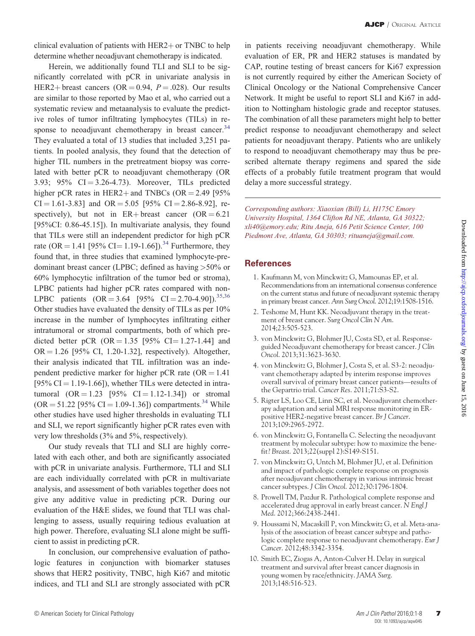<span id="page-6-0"></span>clinical evaluation of patients with  $HER2 + or TNBC$  to help determine whether neoadjuvant chemotherapy is indicated.

Herein, we additionally found TLI and SLI to be significantly correlated with pCR in univariate analysis in HER2+ breast cancers (OR = 0.94,  $P = .028$ ). Our results are similar to those reported by Mao et al, who carried out a systematic review and metaanalysis to evaluate the predictive roles of tumor infiltrating lymphocytes (TILs) in response to neoadjuvant chemotherapy in breast cancer. $34$ They evaluated a total of 13 studies that included 3,251 patients. In pooled analysis, they found that the detection of higher TIL numbers in the pretreatment biopsy was correlated with better pCR to neoadjuvant chemotherapy (OR 3.93; 95%  $CI = 3.26 - 4.73$ ). Moreover, TILs predicted higher pCR rates in HER2+ and TNBCs (OR =  $2.49$  [95%  $CI = 1.61-3.83$ ] and  $OR = 5.05$  [95%  $CI = 2.86-8.92$ ], respectively), but not in  $ER + \text{breast}$  cancer  $(OR = 6.21)$ [95%CI: 0.86-45.15]). In multivariate analysis, they found that TILs were still an independent predictor for high pCR rate (OR = 1.41 [95% CI = 1.19-1.66]).<sup>[34](#page-7-0)</sup> Furthermore, they found that, in three studies that examined lymphocyte-predominant breast cancer (LPBC; defined as having >50% or 60% lymphocytic infiltration of the tumor bed or stroma), LPBC patients had higher pCR rates compared with non-LPBC patients  $(OR = 3.64 \quad [95\% \quad CI = 2.70-4.90]).^{35,36}$  $(OR = 3.64 \quad [95\% \quad CI = 2.70-4.90]).^{35,36}$  $(OR = 3.64 \quad [95\% \quad CI = 2.70-4.90]).^{35,36}$  $(OR = 3.64 \quad [95\% \quad CI = 2.70-4.90]).^{35,36}$  $(OR = 3.64 \quad [95\% \quad CI = 2.70-4.90]).^{35,36}$ Other studies have evaluated the density of TILs as per 10% increase in the number of lymphocytes infiltrating either intratumoral or stromal compartments, both of which predicted better pCR (OR  $= 1.35$  [95% CI $= 1.27 - 1.44$ ] and  $OR = 1.26$  [95% CI, 1.20-1.32], respectively). Altogether, their analysis indicated that TIL infiltration was an independent predictive marker for higher pCR rate ( $OR = 1.41$ ) [95% CI = 1.19-1.66]), whether TILs were detected in intratumoral  $(OR = 1.23 \, [95\% \, CI = 1.12-1.34])$  or stromal  $(OR = 51.22$  [95% CI = 1.09-1.36]) compartments.<sup>[34](#page-7-0)</sup> While other studies have used higher thresholds in evaluating TLI and SLI, we report significantly higher pCR rates even with very low thresholds (3% and 5%, respectively).

Our study reveals that TLI and SLI are highly correlated with each other, and both are significantly associated with pCR in univariate analysis. Furthermore, TLI and SLI are each individually correlated with pCR in multivariate analysis, and assessment of both variables together does not give any additive value in predicting pCR. During our evaluation of the H&E slides, we found that TLI was challenging to assess, usually requiring tedious evaluation at high power. Therefore, evaluating SLI alone might be sufficient to assist in predicting pCR.

In conclusion, our comprehensive evaluation of pathologic features in conjunction with biomarker statuses shows that HER2 positivity, TNBC, high Ki67 and mitotic indices, and TLI and SLI are strongly associated with pCR in patients receiving neoadjuvant chemotherapy. While evaluation of ER, PR and HER2 statuses is mandated by CAP, routine testing of breast cancers for Ki67 expression is not currently required by either the American Society of Clinical Oncology or the National Comprehensive Cancer Network. It might be useful to report SLI and Ki67 in addition to Nottingham histologic grade and receptor statuses. The combination of all these parameters might help to better predict response to neoadjuvant chemotherapy and select patients for neoadjuvant therapy. Patients who are unlikely to respond to neoadjuvant chemotherapy may thus be prescribed alternate therapy regimens and spared the side effects of a probably futile treatment program that would delay a more successful strategy.

Corresponding authors: Xiaoxian (Bill) Li, H175C Emory University Hospital, 1364 Clifton Rd NE, Atlanta, GA 30322; xli40@emory.edu; Ritu Aneja, 616 Petit Science Center, 100 Piedmont Ave, Atlanta, GA 30303; rituaneja@gmail.com.

### **References**

- 1. Kaufmann M, von Minckwitz G, Mamounas EP, et al. Recommendations from an international consensus conference on the current status and future of neoadjuvant systemic therapy in primary breast cancer. Ann Surg Oncol. 2012;19:1508-1516.
- 2. Teshome M, Hunt KK. Neoadjuvant therapy in the treatment of breast cancer. Surg Oncol Clin N Am. 2014;23:505-523.
- 3. von Minckwitz G, Blohmer JU, Costa SD, et al. Responseguided Neoadjuvant chemotherapy for breast cancer. J Clin Oncol. 2013;31:3623-3630.
- 4. von Minckwitz G, Blohmer J, Costa S, et al. S3-2: neoadjuvant chemotherapy adapted by interim response improves overall survival of primary breast cancer patients—results of the Gepartrio trial. Cancer Res. 2011;71:S3-S2.
- 5. Rigter LS, Loo CE, Linn SC, et al. Neoadjuvant chemotherapy adaptation and serial MRI response monitoring in ERpositive HER2-negative breast cancer. Br J Cancer. 2013;109:2965-2972.
- 6. von Minckwitz G, Fontanella C. Selecting the neoadjuvant treatment by molecular subtype: how to maximize the benefit? Breast. 2013;22(suppl 2):S149-S151.
- 7. von Minckwitz G, Untch M, Blohmer JU, et al. Definition and impact of pathologic complete response on prognosis after neoadjuvant chemotherapy in various intrinsic breast cancer subtypes. J Clin Oncol. 2012;30:1796-1804.
- 8. Prowell TM, Pazdur R. Pathological complete response and accelerated drug approval in early breast cancer. N Engl J Med. 2012;366:2438-2441.
- 9. Houssami N, Macaskill P, von Minckwitz G, et al. Meta-analysis of the association of breast cancer subtype and pathologic complete response to neoadjuvant chemotherapy. Eur J Cancer. 2012;48:3342-3354.
- 10. Smith EC, Ziogas A, Anton-Culver H. Delay in surgical treatment and survival after breast cancer diagnosis in young women by race/ethnicity. JAMA Surg. 2013;148:516-523.